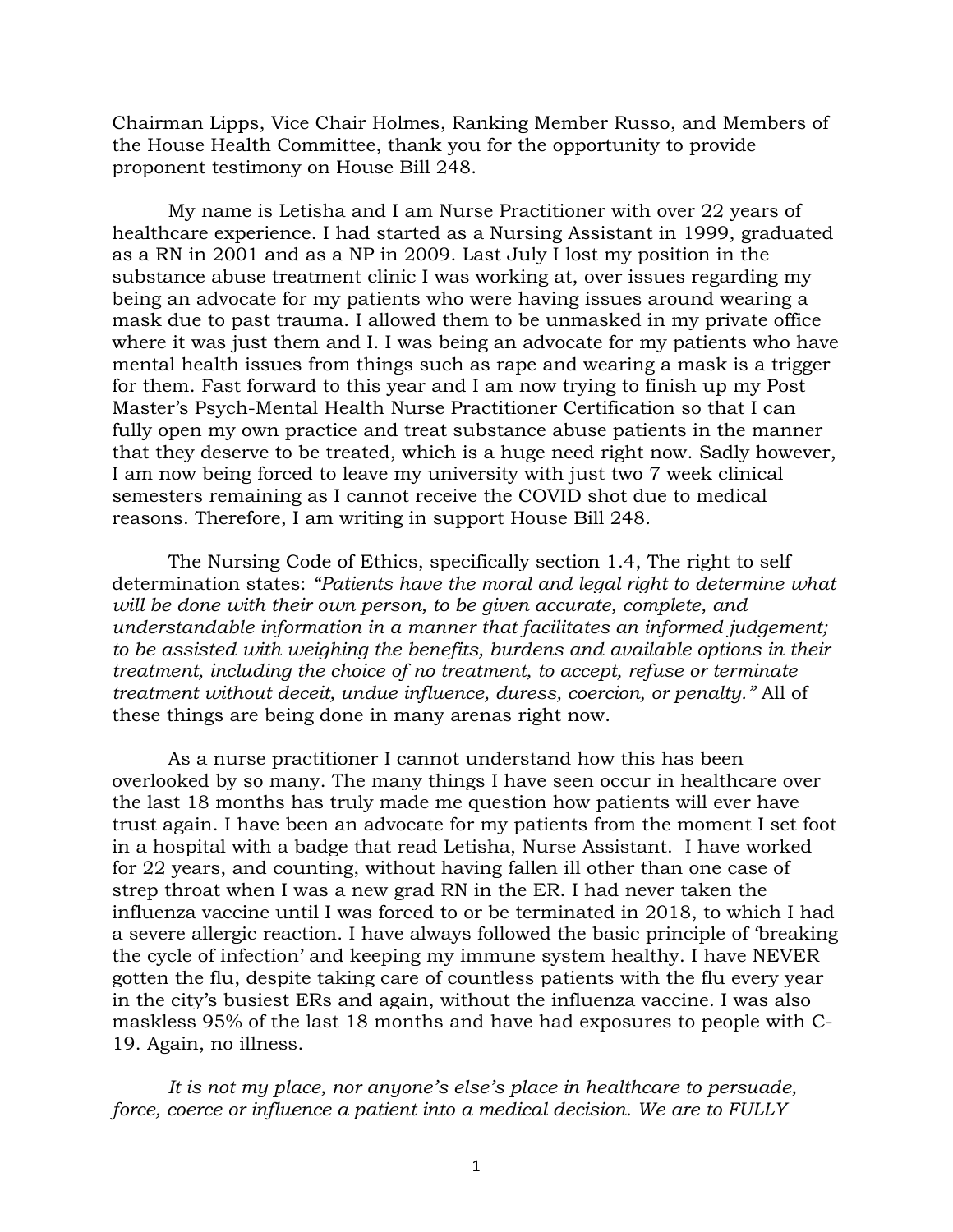Chairman Lipps, Vice Chair Holmes, Ranking Member Russo, and Members of the House Health Committee, thank you for the opportunity to provide proponent testimony on House Bill 248.

My name is Letisha and I am Nurse Practitioner with over 22 years of healthcare experience. I had started as a Nursing Assistant in 1999, graduated as a RN in 2001 and as a NP in 2009. Last July I lost my position in the substance abuse treatment clinic I was working at, over issues regarding my being an advocate for my patients who were having issues around wearing a mask due to past trauma. I allowed them to be unmasked in my private office where it was just them and I. I was being an advocate for my patients who have mental health issues from things such as rape and wearing a mask is a trigger for them. Fast forward to this year and I am now trying to finish up my Post Master's Psych-Mental Health Nurse Practitioner Certification so that I can fully open my own practice and treat substance abuse patients in the manner that they deserve to be treated, which is a huge need right now. Sadly however, I am now being forced to leave my university with just two 7 week clinical semesters remaining as I cannot receive the COVID shot due to medical reasons. Therefore, I am writing in support House Bill 248.

The Nursing Code of Ethics, specifically section 1.4, The right to self determination states: *"Patients have the moral and legal right to determine what will be done with their own person, to be given accurate, complete, and understandable information in a manner that facilitates an informed judgement; to be assisted with weighing the benefits, burdens and available options in their treatment, including the choice of no treatment, to accept, refuse or terminate treatment without deceit, undue influence, duress, coercion, or penalty."* All of these things are being done in many arenas right now.

As a nurse practitioner I cannot understand how this has been overlooked by so many. The many things I have seen occur in healthcare over the last 18 months has truly made me question how patients will ever have trust again. I have been an advocate for my patients from the moment I set foot in a hospital with a badge that read Letisha, Nurse Assistant. I have worked for 22 years, and counting, without having fallen ill other than one case of strep throat when I was a new grad RN in the ER. I had never taken the influenza vaccine until I was forced to or be terminated in 2018, to which I had a severe allergic reaction. I have always followed the basic principle of 'breaking the cycle of infection' and keeping my immune system healthy. I have NEVER gotten the flu, despite taking care of countless patients with the flu every year in the city's busiest ERs and again, without the influenza vaccine. I was also maskless 95% of the last 18 months and have had exposures to people with C-19. Again, no illness.

It is not my place, nor anyone's else's place in healthcare to persuade, *force, coerce or influence a patient into a medical decision. We are to FULLY*